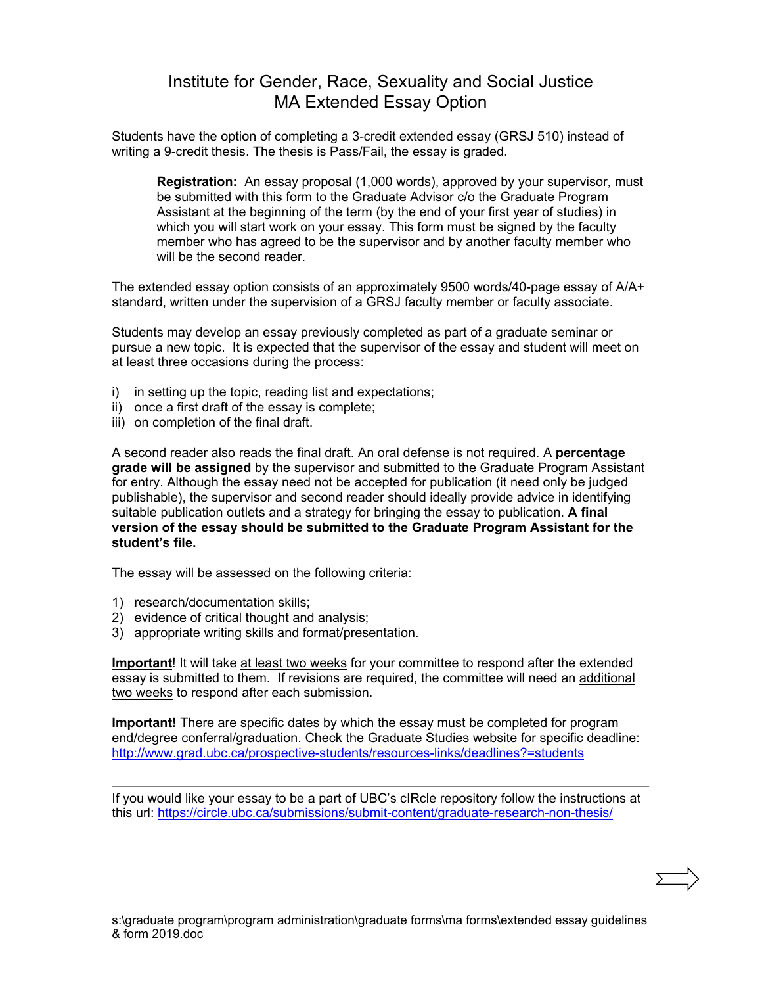## Institute for Gender, Race, Sexuality and Social Justice MA Extended Essay Option

Students have the option of completing a 3-credit extended essay (GRSJ 510) instead of writing a 9-credit thesis. The thesis is Pass/Fail, the essay is graded.

**Registration:** An essay proposal (1,000 words), approved by your supervisor, must be submitted with this form to the Graduate Advisor c/o the Graduate Program Assistant at the beginning of the term (by the end of your first year of studies) in which you will start work on your essay. This form must be signed by the faculty member who has agreed to be the supervisor and by another faculty member who will be the second reader.

The extended essay option consists of an approximately 9500 words/40-page essay of A/A+ standard, written under the supervision of a GRSJ faculty member or faculty associate.

Students may develop an essay previously completed as part of a graduate seminar or pursue a new topic. It is expected that the supervisor of the essay and student will meet on at least three occasions during the process:

- i) in setting up the topic, reading list and expectations;
- ii) once a first draft of the essay is complete;
- iii) on completion of the final draft.

A second reader also reads the final draft. An oral defense is not required. A **percentage grade will be assigned** by the supervisor and submitted to the Graduate Program Assistant for entry. Although the essay need not be accepted for publication (it need only be judged publishable), the supervisor and second reader should ideally provide advice in identifying suitable publication outlets and a strategy for bringing the essay to publication. **A final version of the essay should be submitted to the Graduate Program Assistant for the student's file.**

The essay will be assessed on the following criteria:

- 1) research/documentation skills;
- 2) evidence of critical thought and analysis;
- 3) appropriate writing skills and format/presentation.

**Important**! It will take at least two weeks for your committee to respond after the extended essay is submitted to them. If revisions are required, the committee will need an additional two weeks to respond after each submission.

**Important!** There are specific dates by which the essay must be completed for program end/degree conferral/graduation. Check the Graduate Studies website for specific deadline: <http://www.grad.ubc.ca/prospective-students/resources-links/deadlines?=students>

If you would like your essay to be a part of UBC's cIRcle repository follow the instructions at this url:<https://circle.ubc.ca/submissions/submit-content/graduate-research-non-thesis/>